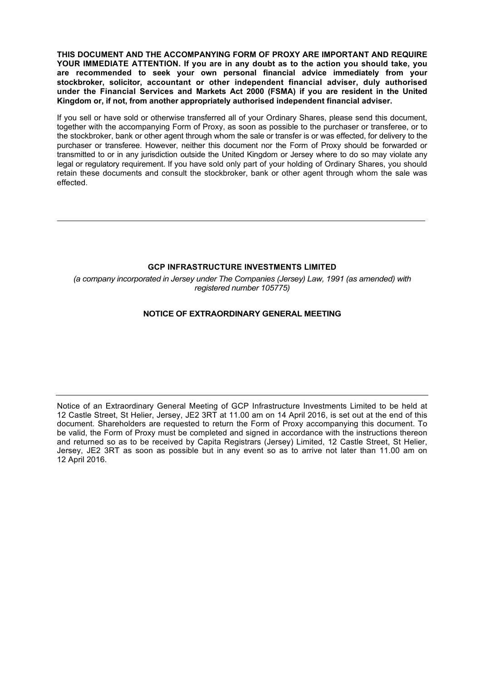**THIS DOCUMENT AND THE ACCOMPANYING FORM OF PROXY ARE IMPORTANT AND REQUIRE YOUR IMMEDIATE ATTENTION. If you are in any doubt as to the action you should take, you are recommended to seek your own personal financial advice immediately from your stockbroker, solicitor, accountant or other independent financial adviser, duly authorised under the Financial Services and Markets Act 2000 (FSMA) if you are resident in the United Kingdom or, if not, from another appropriately authorised independent financial adviser.**

If you sell or have sold or otherwise transferred all of your Ordinary Shares, please send this document, together with the accompanying Form of Proxy, as soon as possible to the purchaser or transferee, or to the stockbroker, bank or other agent through whom the sale or transfer is or was effected, for delivery to the purchaser or transferee. However, neither this document nor the Form of Proxy should be forwarded or transmitted to or in any jurisdiction outside the United Kingdom or Jersey where to do so may violate any legal or regulatory requirement. If you have sold only part of your holding of Ordinary Shares, you should retain these documents and consult the stockbroker, bank or other agent through whom the sale was effected.

## **GCP INFRASTRUCTURE INVESTMENTS LIMITED**

*(a company incorporated in Jersey under The Companies (Jersey) Law, 1991 (as amended) with registered number 105775)*

## **NOTICE OF EXTRAORDINARY GENERAL MEETING**

Notice of an Extraordinary General Meeting of GCP Infrastructure Investments Limited to be held at 12 Castle Street, St Helier, Jersey, JE2 3RT at 11.00 am on 14 April 2016, is set out at the end of this document. Shareholders are requested to return the Form of Proxy accompanying this document. To be valid, the Form of Proxy must be completed and signed in accordance with the instructions thereon and returned so as to be received by Capita Registrars (Jersey) Limited, 12 Castle Street, St Helier, Jersey, JE2 3RT as soon as possible but in any event so as to arrive not later than 11.00 am on 12 April 2016.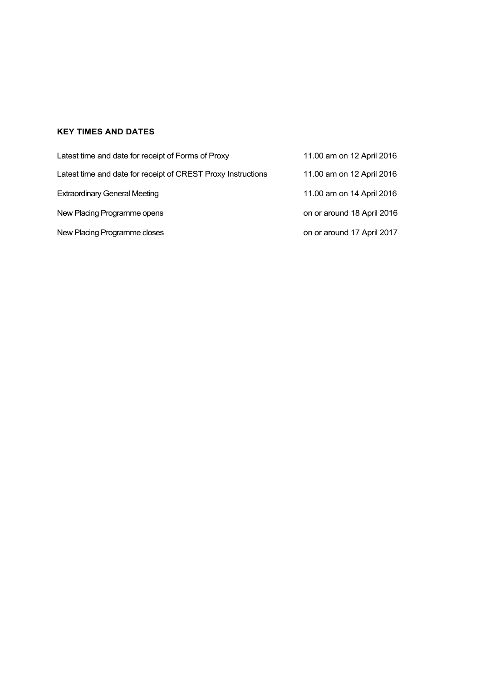# **KEY TIMES AND DATES**

| Latest time and date for receipt of Forms of Proxy           | 11.00 am on 12 April 2016  |
|--------------------------------------------------------------|----------------------------|
| Latest time and date for receipt of CREST Proxy Instructions | 11.00 am on 12 April 2016  |
| <b>Extraordinary General Meeting</b>                         | 11.00 am on 14 April 2016  |
| New Placing Programme opens                                  | on or around 18 April 2016 |
| New Placing Programme closes                                 | on or around 17 April 2017 |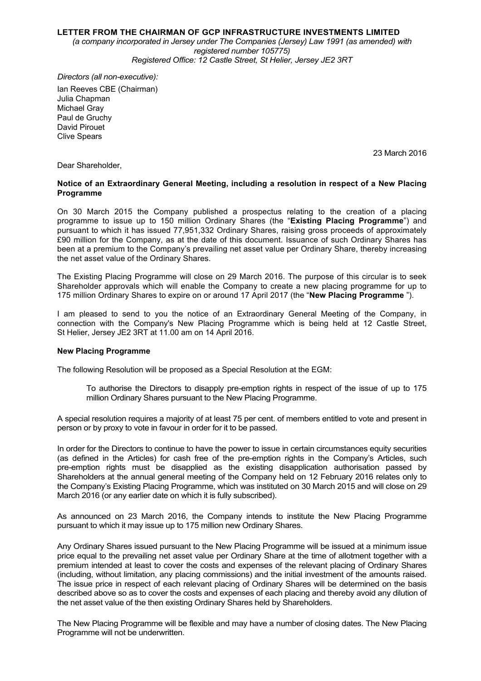## **LETTER FROM THE CHAIRMAN OF GCP INFRASTRUCTURE INVESTMENTS LIMITED**

*(a company incorporated in Jersey under The Companies (Jersey) Law 1991 (as amended) with registered number 105775) Registered Office: 12 Castle Street, St Helier, Jersey JE2 3RT*

*Directors (all non-executive):* Ian Reeves CBE (Chairman) Julia Chapman Michael Gray Paul de Gruchy David Pirouet Clive Spears

23 March 2016

Dear Shareholder,

## **Notice of an Extraordinary General Meeting, including a resolution in respect of a New Placing Programme**

On 30 March 2015 the Company published a prospectus relating to the creation of a placing programme to issue up to 150 million Ordinary Shares (the "**Existing Placing Programme**") and pursuant to which it has issued 77,951,332 Ordinary Shares, raising gross proceeds of approximately £90 million for the Company, as at the date of this document. Issuance of such Ordinary Shares has been at a premium to the Company's prevailing net asset value per Ordinary Share, thereby increasing the net asset value of the Ordinary Shares.

The Existing Placing Programme will close on 29 March 2016. The purpose of this circular is to seek Shareholder approvals which will enable the Company to create a new placing programme for up to 175 million Ordinary Shares to expire on or around 17 April 2017 (the "**New Placing Programme** ").

I am pleased to send to you the notice of an Extraordinary General Meeting of the Company, in connection with the Company's New Placing Programme which is being held at 12 Castle Street, St Helier, Jersey JE2 3RT at 11.00 am on 14 April 2016.

#### **New Placing Programme**

The following Resolution will be proposed as a Special Resolution at the EGM:

To authorise the Directors to disapply pre-emption rights in respect of the issue of up to 175 million Ordinary Shares pursuant to the New Placing Programme.

A special resolution requires a majority of at least 75 per cent. of members entitled to vote and present in person or by proxy to vote in favour in order for it to be passed.

In order for the Directors to continue to have the power to issue in certain circumstances equity securities (as defined in the Articles) for cash free of the pre-emption rights in the Company's Articles, such pre-emption rights must be disapplied as the existing disapplication authorisation passed by Shareholders at the annual general meeting of the Company held on 12 February 2016 relates only to the Company's Existing Placing Programme, which was instituted on 30 March 2015 and will close on 29 March 2016 (or any earlier date on which it is fully subscribed).

As announced on 23 March 2016, the Company intends to institute the New Placing Programme pursuant to which it may issue up to 175 million new Ordinary Shares.

Any Ordinary Shares issued pursuant to the New Placing Programme will be issued at a minimum issue price equal to the prevailing net asset value per Ordinary Share at the time of allotment together with a premium intended at least to cover the costs and expenses of the relevant placing of Ordinary Shares (including, without limitation, any placing commissions) and the initial investment of the amounts raised. The issue price in respect of each relevant placing of Ordinary Shares will be determined on the basis described above so as to cover the costs and expenses of each placing and thereby avoid any dilution of the net asset value of the then existing Ordinary Shares held by Shareholders.

The New Placing Programme will be flexible and may have a number of closing dates. The New Placing Programme will not be underwritten.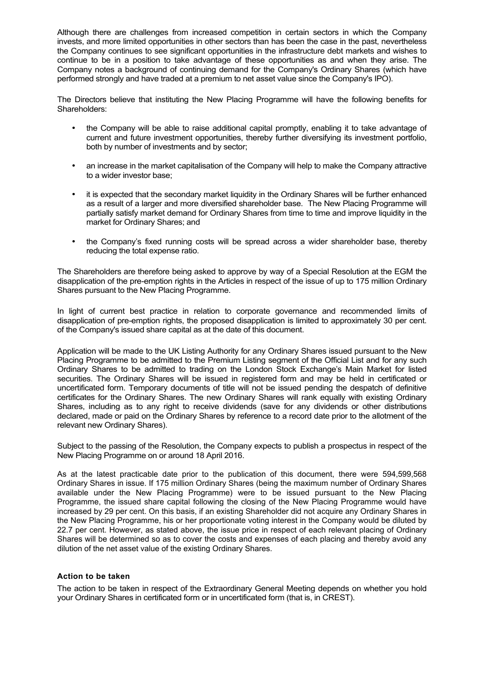Although there are challenges from increased competition in certain sectors in which the Company invests, and more limited opportunities in other sectors than has been the case in the past, nevertheless the Company continues to see significant opportunities in the infrastructure debt markets and wishes to continue to be in a position to take advantage of these opportunities as and when they arise. The Company notes a background of continuing demand for the Company's Ordinary Shares (which have performed strongly and have traded at a premium to net asset value since the Company's IPO).

The Directors believe that instituting the New Placing Programme will have the following benefits for Shareholders:

- the Company will be able to raise additional capital promptly, enabling it to take advantage of current and future investment opportunities, thereby further diversifying its investment portfolio, both by number of investments and by sector;
- an increase in the market capitalisation of the Company will help to make the Company attractive to a wider investor base;
- it is expected that the secondary market liquidity in the Ordinary Shares will be further enhanced as a result of a larger and more diversified shareholder base. The New Placing Programme will partially satisfy market demand for Ordinary Shares from time to time and improve liquidity in the market for Ordinary Shares; and
- the Company's fixed running costs will be spread across a wider shareholder base, thereby reducing the total expense ratio.

The Shareholders are therefore being asked to approve by way of a Special Resolution at the EGM the disapplication of the pre-emption rights in the Articles in respect of the issue of up to 175 million Ordinary Shares pursuant to the New Placing Programme.

In light of current best practice in relation to corporate governance and recommended limits of disapplication of pre-emption rights, the proposed disapplication is limited to approximately 30 per cent. of the Company's issued share capital as at the date of this document.

Application will be made to the UK Listing Authority for any Ordinary Shares issued pursuant to the New Placing Programme to be admitted to the Premium Listing segment of the Official List and for any such Ordinary Shares to be admitted to trading on the London Stock Exchange's Main Market for listed securities. The Ordinary Shares will be issued in registered form and may be held in certificated or uncertificated form. Temporary documents of title will not be issued pending the despatch of definitive certificates for the Ordinary Shares. The new Ordinary Shares will rank equally with existing Ordinary Shares, including as to any right to receive dividends (save for any dividends or other distributions declared, made or paid on the Ordinary Shares by reference to a record date prior to the allotment of the relevant new Ordinary Shares).

Subject to the passing of the Resolution, the Company expects to publish a prospectus in respect of the New Placing Programme on or around 18 April 2016.

As at the latest practicable date prior to the publication of this document, there were 594,599,568 Ordinary Shares in issue. If 175 million Ordinary Shares (being the maximum number of Ordinary Shares available under the New Placing Programme) were to be issued pursuant to the New Placing Programme, the issued share capital following the closing of the New Placing Programme would have increased by 29 per cent. On this basis, if an existing Shareholder did not acquire any Ordinary Shares in the New Placing Programme, his or her proportionate voting interest in the Company would be diluted by 22.7 per cent. However, as stated above, the issue price in respect of each relevant placing of Ordinary Shares will be determined so as to cover the costs and expenses of each placing and thereby avoid any dilution of the net asset value of the existing Ordinary Shares.

## **Action to be taken**

The action to be taken in respect of the Extraordinary General Meeting depends on whether you hold your Ordinary Shares in certificated form or in uncertificated form (that is, in CREST).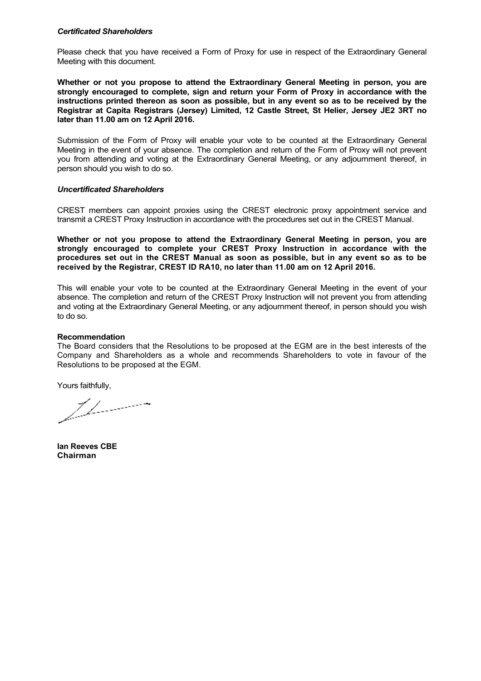#### *Certificated Shareholders*

Please check that you have received a Form of Proxy for use in respect of the Extraordinary General Meeting with this document.

**Whether or not you propose to attend the Extraordinary General Meeting in person, you are strongly encouraged to complete, sign and return your Form of Proxy in accordance with the instructions printed thereon as soon as possible, but in any event so as to be received by the Registrar at Capita Registrars (Jersey) Limited, 12 Castle Street, St Helier, Jersey JE2 3RT no later than 11.00 am on 12 April 2016.**

Submission of the Form of Proxy will enable your vote to be counted at the Extraordinary General Meeting in the event of your absence. The completion and return of the Form of Proxy will not prevent you from attending and voting at the Extraordinary General Meeting, or any adjournment thereof, in person should you wish to do so.

#### *Uncertificated Shareholders*

CREST members can appoint proxies using the CREST electronic proxy appointment service and transmit a CREST Proxy Instruction in accordance with the procedures set out in the CREST Manual.

**Whether or not you propose to attend the Extraordinary General Meeting in person, you are strongly encouraged to complete your CREST Proxy Instruction in accordance with the procedures set out in the CREST Manual as soon as possible, but in any event so as to be received by the Registrar, CREST ID RA10, no later than 11.00 am on 12 April 2016.**

This will enable your vote to be counted at the Extraordinary General Meeting in the event of your absence. The completion and return of the CREST Proxy Instruction will not prevent you from attending and voting at the Extraordinary General Meeting, or any adjournment thereof, in person should you wish to do so.

#### **Recommendation**

The Board considers that the Resolutions to be proposed at the EGM are in the best interests of the Company and Shareholders as a whole and recommends Shareholders to vote in favour of the Resolutions to be proposed at the EGM.

Yours faithfully,

1 | \_ \_ \_ \_ \_ \_ \_ \_

**Ian Reeves CBE Chairman**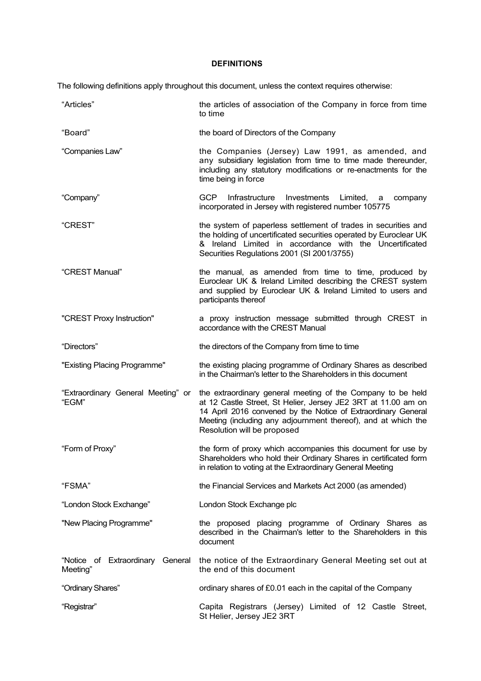## **DEFINITIONS**

The following definitions apply throughout this document, unless the context requires otherwise:

| "Articles"                                   | the articles of association of the Company in force from time<br>to time                                                                                                                                                                                                                      |
|----------------------------------------------|-----------------------------------------------------------------------------------------------------------------------------------------------------------------------------------------------------------------------------------------------------------------------------------------------|
| "Board"                                      | the board of Directors of the Company                                                                                                                                                                                                                                                         |
| "Companies Law"                              | the Companies (Jersey) Law 1991, as amended, and<br>any subsidiary legislation from time to time made thereunder,<br>including any statutory modifications or re-enactments for the<br>time being in force                                                                                    |
| "Company"                                    | <b>GCP</b><br>Infrastructure<br>Investments<br>Limited,<br>company<br>a<br>incorporated in Jersey with registered number 105775                                                                                                                                                               |
| "CREST"                                      | the system of paperless settlement of trades in securities and<br>the holding of uncertificated securities operated by Euroclear UK<br>& Ireland Limited in accordance with the Uncertificated<br>Securities Regulations 2001 (SI 2001/3755)                                                  |
| "CREST Manual"                               | the manual, as amended from time to time, produced by<br>Euroclear UK & Ireland Limited describing the CREST system<br>and supplied by Euroclear UK & Ireland Limited to users and<br>participants thereof                                                                                    |
| "CREST Proxy Instruction"                    | a proxy instruction message submitted through CREST in<br>accordance with the CREST Manual                                                                                                                                                                                                    |
| "Directors"                                  | the directors of the Company from time to time                                                                                                                                                                                                                                                |
| "Existing Placing Programme"                 | the existing placing programme of Ordinary Shares as described<br>in the Chairman's letter to the Shareholders in this document                                                                                                                                                               |
| "Extraordinary General Meeting" or<br>"EGM"  | the extraordinary general meeting of the Company to be held<br>at 12 Castle Street, St Helier, Jersey JE2 3RT at 11.00 am on<br>14 April 2016 convened by the Notice of Extraordinary General<br>Meeting (including any adjournment thereof), and at which the<br>Resolution will be proposed |
| "Form of Proxy"                              | the form of proxy which accompanies this document for use by<br>Shareholders who hold their Ordinary Shares in certificated form<br>in relation to voting at the Extraordinary General Meeting                                                                                                |
| "FSMA"                                       | the Financial Services and Markets Act 2000 (as amended)                                                                                                                                                                                                                                      |
| "London Stock Exchange"                      | London Stock Exchange plc                                                                                                                                                                                                                                                                     |
| "New Placing Programme"                      | the proposed placing programme of Ordinary Shares as<br>described in the Chairman's letter to the Shareholders in this<br>document                                                                                                                                                            |
| "Notice of Extraordinary General<br>Meeting" | the notice of the Extraordinary General Meeting set out at<br>the end of this document                                                                                                                                                                                                        |
| "Ordinary Shares"                            | ordinary shares of £0.01 each in the capital of the Company                                                                                                                                                                                                                                   |
| "Registrar"                                  | Capita Registrars (Jersey) Limited of 12 Castle Street,<br>St Helier, Jersey JE2 3RT                                                                                                                                                                                                          |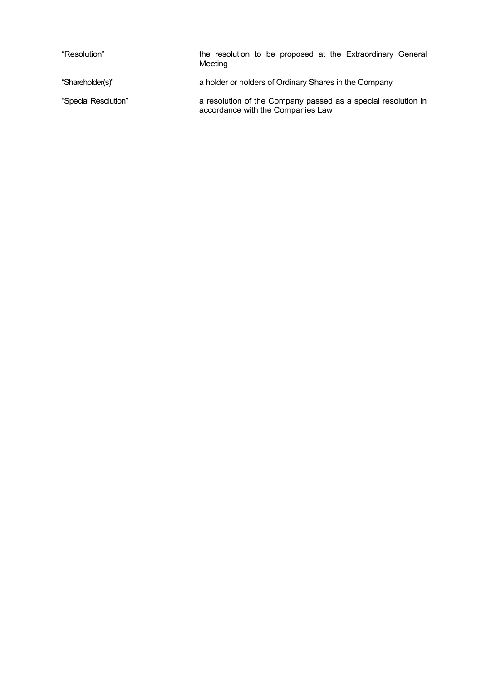| "Resolution"         | the resolution to be proposed at the Extraordinary General<br>Meeting                              |
|----------------------|----------------------------------------------------------------------------------------------------|
| "Shareholder(s)"     | a holder or holders of Ordinary Shares in the Company                                              |
| "Special Resolution" | a resolution of the Company passed as a special resolution in<br>accordance with the Companies Law |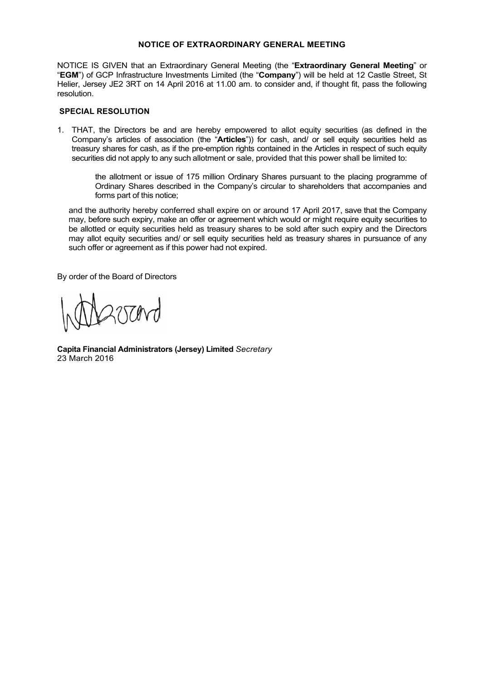## **NOTICE OF EXTRAORDINARY GENERAL MEETING**

NOTICE IS GIVEN that an Extraordinary General Meeting (the "**Extraordinary General Meeting**" or "**EGM**") of GCP Infrastructure Investments Limited (the "**Company**") will be held at 12 Castle Street, St Helier, Jersey JE2 3RT on 14 April 2016 at 11.00 am. to consider and, if thought fit, pass the following resolution.

## **SPECIAL RESOLUTION**

1. THAT, the Directors be and are hereby empowered to allot equity securities (as defined in the Company's articles of association (the "**Articles**")) for cash, and/ or sell equity securities held as treasury shares for cash, as if the pre-emption rights contained in the Articles in respect of such equity securities did not apply to any such allotment or sale, provided that this power shall be limited to:

the allotment or issue of 175 million Ordinary Shares pursuant to the placing programme of Ordinary Shares described in the Company's circular to shareholders that accompanies and forms part of this notice;

and the authority hereby conferred shall expire on or around 17 April 2017, save that the Company may, before such expiry, make an offer or agreement which would or might require equity securities to be allotted or equity securities held as treasury shares to be sold after such expiry and the Directors may allot equity securities and/ or sell equity securities held as treasury shares in pursuance of any such offer or agreement as if this power had not expired.

By order of the Board of Directors

**Capita Financial Administrators (Jersey) Limited** *Secretary* 23 March 2016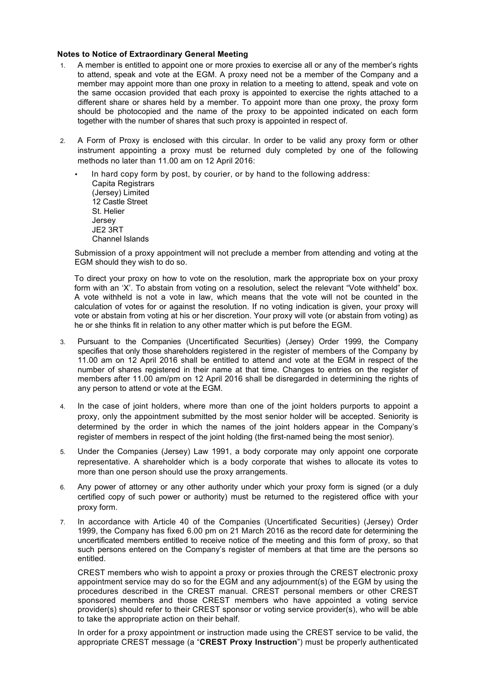## **Notes to Notice of Extraordinary General Meeting**

- 1. A member is entitled to appoint one or more proxies to exercise all or any of the member's rights to attend, speak and vote at the EGM. A proxy need not be a member of the Company and a member may appoint more than one proxy in relation to a meeting to attend, speak and vote on the same occasion provided that each proxy is appointed to exercise the rights attached to a different share or shares held by a member. To appoint more than one proxy, the proxy form should be photocopied and the name of the proxy to be appointed indicated on each form together with the number of shares that such proxy is appointed in respect of.
- 2. A Form of Proxy is enclosed with this circular. In order to be valid any proxy form or other instrument appointing a proxy must be returned duly completed by one of the following methods no later than 11.00 am on 12 April 2016:
	- In hard copy form by post, by courier, or by hand to the following address: Capita Registrars (Jersey) Limited 12 Castle Street St. Helier Jersey JE2 3RT Channel Islands

Submission of a proxy appointment will not preclude a member from attending and voting at the EGM should they wish to do so.

To direct your proxy on how to vote on the resolution, mark the appropriate box on your proxy form with an 'X'. To abstain from voting on a resolution, select the relevant "Vote withheld" box. A vote withheld is not a vote in law, which means that the vote will not be counted in the calculation of votes for or against the resolution. If no voting indication is given, your proxy will vote or abstain from voting at his or her discretion. Your proxy will vote (or abstain from voting) as he or she thinks fit in relation to any other matter which is put before the EGM.

- 3. Pursuant to the Companies (Uncertificated Securities) (Jersey) Order 1999, the Company specifies that only those shareholders registered in the register of members of the Company by 11.00 am on 12 April 2016 shall be entitled to attend and vote at the EGM in respect of the number of shares registered in their name at that time. Changes to entries on the register of members after 11.00 am/pm on 12 April 2016 shall be disregarded in determining the rights of any person to attend or vote at the EGM.
- 4. In the case of joint holders, where more than one of the joint holders purports to appoint a proxy, only the appointment submitted by the most senior holder will be accepted. Seniority is determined by the order in which the names of the joint holders appear in the Company's register of members in respect of the joint holding (the first-named being the most senior).
- 5. Under the Companies (Jersey) Law 1991, a body corporate may only appoint one corporate representative. A shareholder which is a body corporate that wishes to allocate its votes to more than one person should use the proxy arrangements.
- 6. Any power of attorney or any other authority under which your proxy form is signed (or a duly certified copy of such power or authority) must be returned to the registered office with your proxy form.
- 7. In accordance with Article 40 of the Companies (Uncertificated Securities) (Jersey) Order 1999, the Company has fixed 6.00 pm on 21 March 2016 as the record date for determining the uncertificated members entitled to receive notice of the meeting and this form of proxy, so that such persons entered on the Company's register of members at that time are the persons so entitled.

CREST members who wish to appoint a proxy or proxies through the CREST electronic proxy appointment service may do so for the EGM and any adjournment(s) of the EGM by using the procedures described in the CREST manual. CREST personal members or other CREST sponsored members and those CREST members who have appointed a voting service provider(s) should refer to their CREST sponsor or voting service provider(s), who will be able to take the appropriate action on their behalf.

In order for a proxy appointment or instruction made using the CREST service to be valid, the appropriate CREST message (a "**CREST Proxy Instruction**") must be properly authenticated